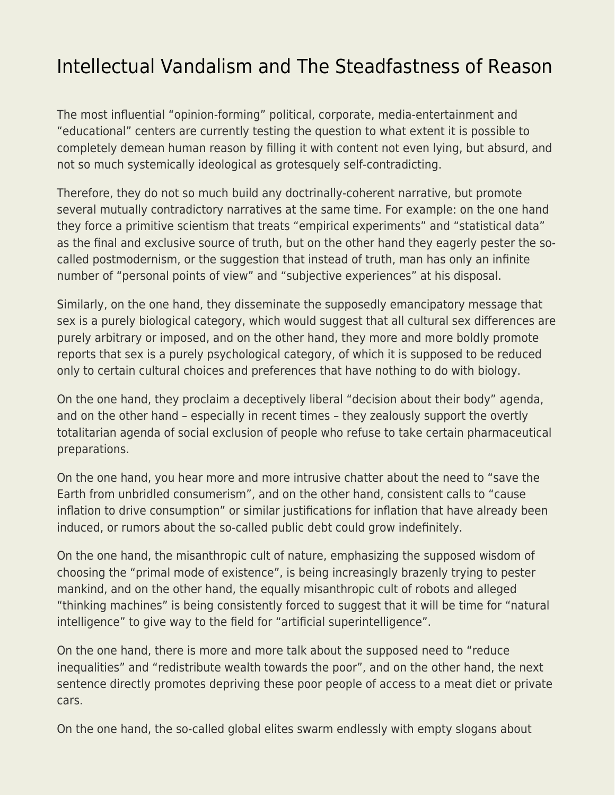## [Intellectual Vandalism and The Steadfastness of Reason](https://everything-voluntary.com/intellectual-vandalism-and-the-steadfastness-of-reason)

The most influential "opinion-forming" political, corporate, media-entertainment and "educational" centers are currently testing the question to what extent it is possible to completely demean human reason by filling it with content not even lying, but absurd, and not so much systemically ideological as grotesquely self-contradicting.

Therefore, they do not so much build any doctrinally-coherent narrative, but promote several mutually contradictory narratives at the same time. For example: on the one hand they force a primitive scientism that treats "empirical experiments" and "statistical data" as the final and exclusive source of truth, but on the other hand they eagerly pester the socalled postmodernism, or the suggestion that instead of truth, man has only an infinite number of "personal points of view" and "subjective experiences" at his disposal.

Similarly, on the one hand, they disseminate the supposedly emancipatory message that sex is a purely biological category, which would suggest that all cultural sex differences are purely arbitrary or imposed, and on the other hand, they more and more boldly promote reports that sex is a purely psychological category, of which it is supposed to be reduced only to certain cultural choices and preferences that have nothing to do with biology.

On the one hand, they proclaim a deceptively liberal "decision about their body" agenda, and on the other hand – especially in recent times – they zealously support the overtly totalitarian agenda of social exclusion of people who refuse to take certain pharmaceutical preparations.

On the one hand, you hear more and more intrusive chatter about the need to "save the Earth from unbridled consumerism", and on the other hand, consistent calls to "cause inflation to drive consumption" or similar justifications for inflation that have already been induced, or rumors about the so-called public debt could grow indefinitely.

On the one hand, the misanthropic cult of nature, emphasizing the supposed wisdom of choosing the "primal mode of existence", is being increasingly brazenly trying to pester mankind, and on the other hand, the equally misanthropic cult of robots and alleged "thinking machines" is being consistently forced to suggest that it will be time for "natural intelligence" to give way to the field for "artificial superintelligence".

On the one hand, there is more and more talk about the supposed need to "reduce inequalities" and "redistribute wealth towards the poor", and on the other hand, the next sentence directly promotes depriving these poor people of access to a meat diet or private cars.

On the one hand, the so-called global elites swarm endlessly with empty slogans about